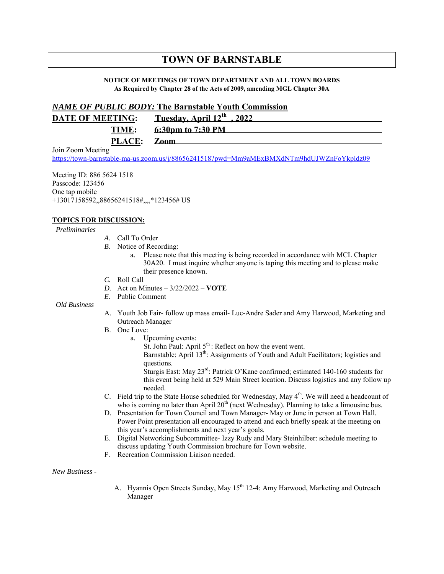## **TOWN OF BARNSTABLE**

## **NOTICE OF MEETINGS OF TOWN DEPARTMENT AND ALL TOWN BOARDS As Required by Chapter 28 of the Acts of 2009, amending MGL Chapter 30A**

## *NAME OF PUBLIC BODY:* **The Barnstable Youth Commission**

| <b>DATE OF MEETING:</b> | <u>Tuesday, April 12th, 2022</u> |
|-------------------------|----------------------------------|
| TIME:                   | 6:30pm to 7:30 PM                |
| PLACE: Zoom             |                                  |

Join Zoom Meeting

https://town-barnstable-ma-us.zoom.us/j/88656241518?pwd=Mm9aMExBMXdNTm9hdUJWZnFoYkpldz09

Meeting ID: 886 5624 1518 Passcode: 123456 One tap mobile +13017158592,,88656241518#,,,,\*123456# US

## **TOPICS FOR DISCUSSION:**

*Preliminaries*

- *A.* Call To Order
- *B.* Notice of Recording:
	- a. Please note that this meeting is being recorded in accordance with MCL Chapter 30A20. I must inquire whether anyone is taping this meeting and to please make their presence known.
- *C.* Roll Call
- *D.* Act on Minutes 3/22/2022 **VOTE**
- *E.* Public Comment

*Old Business*

- A. Youth Job Fair- follow up mass email- Luc-Andre Sader and Amy Harwood, Marketing and Outreach Manager
- B. One Love:
	- a. Upcoming events:
		- St. John Paul: April 5<sup>th</sup>: Reflect on how the event went.

Barnstable: April 13<sup>th</sup>: Assignments of Youth and Adult Facilitators; logistics and questions.

Sturgis East: May 23rd: Patrick O'Kane confirmed; estimated 140-160 students for this event being held at 529 Main Street location. Discuss logistics and any follow up needed.

- C. Field trip to the State House scheduled for Wednesday, May  $4<sup>th</sup>$ . We will need a headcount of who is coming no later than April  $20<sup>th</sup>$  (next Wednesday). Planning to take a limousine bus.
- D. Presentation for Town Council and Town Manager- May or June in person at Town Hall. Power Point presentation all encouraged to attend and each briefly speak at the meeting on this year's accomplishments and next year's goals.
- E. Digital Networking Subcommittee- Izzy Rudy and Mary Steinhilber: schedule meeting to discuss updating Youth Commission brochure for Town website.
- F. Recreation Commission Liaison needed.

*New Business* -

A. Hyannis Open Streets Sunday, May 15<sup>th</sup> 12-4: Amy Harwood, Marketing and Outreach Manager